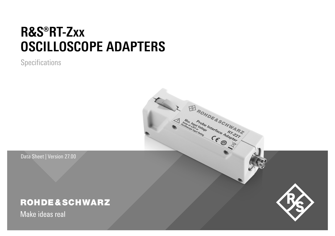# **R&S®RT-Zxx OSCILLOSCOPE ADAPTERS**

**Specifications** 

Data Sheet | Version 27.00

# **ROHDE&SCHWARZ**

Make ideas real

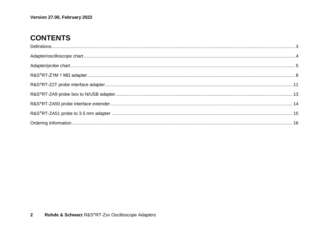# **CONTENTS**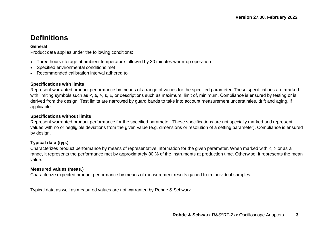# <span id="page-2-0"></span>**Definitions**

#### **General**

Product data applies under the following conditions:

- Three hours storage at ambient temperature followed by 30 minutes warm-up operation
- Specified environmental conditions met
- Recommended calibration interval adhered to

#### **Specifications with limits**

Represent warranted product performance by means of a range of values for the specified parameter. These specifications are marked with limiting symbols such as <, ≤, >, ≥, ±, or descriptions such as maximum, limit of, minimum. Compliance is ensured by testing or is derived from the design. Test limits are narrowed by guard bands to take into account measurement uncertainties, drift and aging, if applicable.

#### **Specifications without limits**

Represent warranted product performance for the specified parameter. These specifications are not specially marked and represent values with no or negligible deviations from the given value (e.g. dimensions or resolution of a setting parameter). Compliance is ensured by design.

#### **Typical data (typ.)**

Characterizes product performance by means of representative information for the given parameter. When marked with  $\lt$ ,  $>$  or as a range, it represents the performance met by approximately 80 % of the instruments at production time. Otherwise, it represents the mean value.

#### **Measured values (meas.)**

Characterize expected product performance by means of measurement results gained from individual samples.

Typical data as well as measured values are not warranted by Rohde & Schwarz.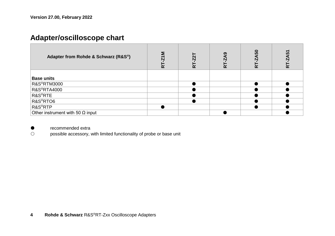# <span id="page-3-0"></span>**Adapter/oscilloscope chart**

| Adapter from Rohde & Schwarz (R&S <sup>®</sup> ) | ضة | 균 | ໑ | ន<br>균 | 5<br>ضة |
|--------------------------------------------------|----|---|---|--------|---------|
| <b>Base units</b>                                |    |   |   |        |         |
| R&S <sup>®</sup> RTM3000                         |    |   |   |        |         |
| <b>R&amp;S®RTA4000</b>                           |    |   |   |        |         |
| R&S <sup>®</sup> RTE                             |    |   |   |        |         |
| R&S <sup>®</sup> RTO6                            |    |   |   |        |         |
| R&S <sup>®</sup> RTP                             |    |   |   |        |         |
| Other instrument with 50 $\Omega$ input          |    |   |   |        |         |

● recommended extra<br>○ possible accessory, v

possible accessory, with limited functionality of probe or base unit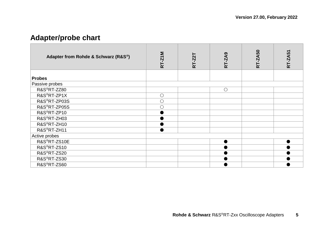# <span id="page-4-0"></span>**Adapter/probe chart**

| Adapter from Rohde & Schwarz (R&S®) | RT-Z1M | RT-Z2T | <b>RT-ZA9</b> | RT-ZA50 | RT-ZA51 |
|-------------------------------------|--------|--------|---------------|---------|---------|
| <b>Probes</b>                       |        |        |               |         |         |
|                                     |        |        |               |         |         |
| Passive probes                      |        |        |               |         |         |
| R&S <sup>®</sup> RT-ZZ80            |        |        | $\circ$       |         |         |
| R&S <sup>®</sup> RT-ZP1X            | О      |        |               |         |         |
| R&S®RT-ZP03S                        | О      |        |               |         |         |
| R&S <sup>®</sup> RT-ZP05S           | Ω      |        |               |         |         |
| R&S <sup>®</sup> RT-ZP10            |        |        |               |         |         |
| R&S®RT-ZH03                         |        |        |               |         |         |
| R&S®RT-ZH10                         |        |        |               |         |         |
| R&S <sup>®</sup> RT-ZH11            |        |        |               |         |         |
| Active probes                       |        |        |               |         |         |
| R&S®RT-ZS10E                        |        |        |               |         |         |
| R&S <sup>®</sup> RT-ZS10            |        |        |               |         |         |
| R&S <sup>®</sup> RT-ZS20            |        |        |               |         |         |
| R&S <sup>®</sup> RT-ZS30            |        |        |               |         |         |
| R&S®RT-ZS60                         |        |        |               |         |         |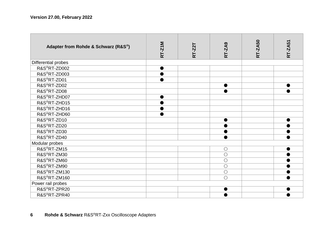| Adapter from Rohde & Schwarz (R&S®) | RT-Z1M | RT-Z2T | <b>RT-ZA9</b> | RT-ZA50 | RT-ZA51   |
|-------------------------------------|--------|--------|---------------|---------|-----------|
| Differential probes                 |        |        |               |         |           |
| R&S®RT-ZD002                        |        |        |               |         |           |
| R&S®RT-ZD003                        |        |        |               |         |           |
| R&S®RT-ZD01                         |        |        |               |         |           |
| R&S <sup>®</sup> RT-ZD02            |        |        | ●             |         |           |
| R&S <sup>®</sup> RT-ZD08            |        |        | ●             |         |           |
| R&S®RT-ZHD07                        |        |        |               |         |           |
| R&S <sup>®</sup> RT-ZHD15           |        |        |               |         |           |
| R&S®RT-ZHD16                        | ▬      |        |               |         |           |
| R&S <sup>®</sup> RT-ZHD60           |        |        |               |         |           |
| R&S®RT-ZD10                         |        |        | ●             |         | ●         |
| R&S <sup>®</sup> RT-ZD20            |        |        |               |         |           |
| R&S <sup>®</sup> RT-ZD30            |        |        |               |         |           |
| R&S <sup>®</sup> RT-ZD40            |        |        |               |         |           |
| Modular probes                      |        |        |               |         |           |
| R&S <sup>®</sup> RT-ZM15            |        |        | $\circ$       |         | $\bullet$ |
| R&S <sup>®</sup> RT-ZM30            |        |        | $\circ$       |         |           |
| R&S®RT-ZM60                         |        |        | $\circ$       |         |           |
| R&S <sup>®</sup> RT-ZM90            |        |        | $\circ$       |         |           |
| R&S®RT-ZM130                        |        |        | $\circ$       |         |           |
| R&S®RT-ZM160                        |        |        | $\bigcirc$    |         |           |
| Power rail probes                   |        |        |               |         |           |
| R&S <sup>®</sup> RT-ZPR20           |        |        | ●             |         |           |
| R&S <sup>®</sup> RT-ZPR40           |        |        |               |         |           |

#### **6 Rohde & Schwarz** R&S ®RT -Zxx Oscilloscope Adapters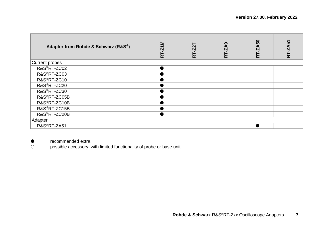| Adapter from Rohde & Schwarz (R&S®) | RT-Z1M | RT-Z2T | දි<br>RT-Z | <b>A50</b><br>RT-Z | $-2A51$<br>균 |
|-------------------------------------|--------|--------|------------|--------------------|--------------|
| Current probes                      |        |        |            |                    |              |
| R&S®RT-ZC02                         |        |        |            |                    |              |
| R&S <sup>®</sup> RT-ZC03            |        |        |            |                    |              |
| R&S®RT-ZC10                         |        |        |            |                    |              |
| R&S <sup>®</sup> RT-ZC20            |        |        |            |                    |              |
| R&S®RT-ZC30                         |        |        |            |                    |              |
| R&S <sup>®</sup> RT-ZC05B           |        |        |            |                    |              |
| R&S®RT-ZC10B                        |        |        |            |                    |              |
| R&S®RT-ZC15B                        |        |        |            |                    |              |
| R&S <sup>®</sup> RT-ZC20B           |        |        |            |                    |              |
| Adapter                             |        |        |            |                    |              |
| R&S <sup>®</sup> RT-ZA51            |        |        |            |                    |              |

● recommended extra<br>○ possible accessory, v

possible accessory, with limited functionality of probe or base unit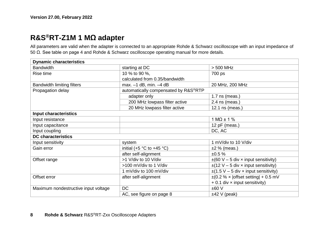# <span id="page-7-0"></span>**R&S®RT-Z1M 1 MΩ adapter**

All parameters are valid when the adapter is connected to an appropriate Rohde & Schwarz oscilloscope with an input impedance of 50 Ω. See table on pag[e 4](#page-3-0) and Rohde & Schwarz oscilloscope operating manual for more details.

| <b>Dynamic characteristics</b>       |                                               |                                            |  |
|--------------------------------------|-----------------------------------------------|--------------------------------------------|--|
| <b>Bandwidth</b>                     | starting at DC                                | $> 500$ MHz                                |  |
| Rise time                            | 10 % to 90 %.                                 | 700 ps                                     |  |
|                                      | calculated from 0.35/bandwidth                |                                            |  |
| <b>Bandwidth limiting filters</b>    | max. $-1$ dB, min. $-4$ dB                    | 20 MHz, 200 MHz                            |  |
| Propagation delay                    | automatically compensated by R&S®RTP          |                                            |  |
|                                      | adapter only                                  | 1.7 ns (meas.)                             |  |
|                                      | 200 MHz lowpass filter active                 | $2.4$ ns (meas.)                           |  |
|                                      | 20 MHz lowpass filter active                  | 12.1 ns (meas.)                            |  |
| Input characteristics                |                                               |                                            |  |
| Input resistance                     |                                               | $1 M\Omega \pm 1 \%$                       |  |
| Input capacitance                    |                                               | 12 $pF$ (meas.)                            |  |
| Input coupling                       |                                               | DC, AC                                     |  |
| <b>DC</b> characteristics            |                                               |                                            |  |
| Input sensitivity                    | system                                        | 1 mV/div to 10 V/div                       |  |
| Gain error                           | initial (+5 $^{\circ}$ C to +45 $^{\circ}$ C) | $±2$ % (meas.)                             |  |
|                                      | after self-alignment                          | ±0.5%                                      |  |
| Offset range                         | >1 V/div to 10 V/div                          | $\pm$ (60 V – 5 div x input sensitivity)   |  |
|                                      | >100 mV/div to 1 V/div                        | $\pm$ (12 V – 5 div x input sensitivity)   |  |
|                                      | 1 mV/div to 100 mV/div                        | $\pm$ (1.5 V – 5 div x input sensitivity)  |  |
| Offset error                         | after self-alignment                          | $\pm$ (0.2 % x   offset setting   + 0.5 mV |  |
|                                      |                                               | $+0.1$ div x input sensitivity)            |  |
| Maximum nondestructive input voltage | DC                                            | ±60V                                       |  |
|                                      | AC, see figure on page 8                      | $±42$ V (peak)                             |  |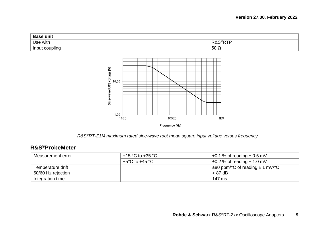| <b>Base unit</b> |              |                |  |
|------------------|--------------|----------------|--|
| Use with         | n c          | סדי<br>ເ∝<br>. |  |
| Input coupling   | $-50 \Omega$ |                |  |



Frequency [Hz]

*R&S®RT-Z1M maximum rated sine-wave root mean square input voltage versus frequency*

### **R&S®ProbeMeter**

| Measurement error  | +15 °C to +35 °C | $\pm 0.1$ % of reading $\pm$ 0.5 mV      |
|--------------------|------------------|------------------------------------------|
|                    | +5°C to +45 °C   | $\pm 0.2$ % of reading $\pm$ 1.0 mV      |
| Temperature drift  |                  | $\pm$ 80 ppm/°C of reading $\pm$ 1 mV/°C |
| 50/60 Hz rejection |                  | > 87 dB                                  |
| Integration time   |                  | 147 ms                                   |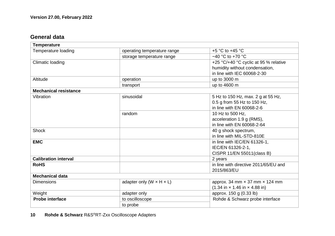### **General data**

| <b>Temperature</b>           |                                        |                                                                   |  |  |
|------------------------------|----------------------------------------|-------------------------------------------------------------------|--|--|
| Temperature loading          | operating temperature range            | $+5$ °C to $+45$ °C                                               |  |  |
|                              | storage temperature range              | $-40$ °C to +70 °C                                                |  |  |
| Climatic loading             |                                        | +25 °C/+40 °C cyclic at 95 % relative                             |  |  |
|                              |                                        | humidity without condensation,                                    |  |  |
|                              |                                        | in line with IEC 60068-2-30                                       |  |  |
| Altitude                     | operation                              | up to 3000 m                                                      |  |  |
|                              | transport                              | up to 4600 m                                                      |  |  |
| <b>Mechanical resistance</b> |                                        |                                                                   |  |  |
| Vibration                    | sinusoidal                             | 5 Hz to 150 Hz, max. 2 g at 55 Hz,                                |  |  |
|                              |                                        | 0.5 g from 55 Hz to 150 Hz,                                       |  |  |
|                              |                                        | in line with EN 60068-2-6                                         |  |  |
|                              | random                                 | 10 Hz to 500 Hz.                                                  |  |  |
|                              |                                        | acceleration 1.9 g (RMS).                                         |  |  |
|                              |                                        | in line with EN 60068-2-64                                        |  |  |
| Shock                        |                                        | 40 g shock spectrum,                                              |  |  |
|                              |                                        | in line with MIL-STD-810E                                         |  |  |
| <b>EMC</b>                   |                                        | in line with IEC/EN 61326-1,                                      |  |  |
|                              |                                        | IEC/EN 61326-2-1,                                                 |  |  |
|                              |                                        | CISPR 11/EN 55011(class B)                                        |  |  |
| <b>Calibration interval</b>  |                                        | 2 years                                                           |  |  |
| <b>RoHS</b>                  |                                        | in line with directive 2011/65/EU and                             |  |  |
|                              |                                        | 2015/863/EU                                                       |  |  |
| <b>Mechanical data</b>       |                                        |                                                                   |  |  |
| Dimensions                   | adapter only (W $\times$ H $\times$ L) | approx. 34 mm $\times$ 37 mm $\times$ 124 mm                      |  |  |
|                              |                                        | $(1.34 \text{ in} \times 1.46 \text{ in} \times 4.88 \text{ in})$ |  |  |
| Weight                       | adapter only                           | approx. 150 g (0.33 lb)                                           |  |  |
| <b>Probe interface</b>       | to oscilloscope                        | Rohde & Schwarz probe interface                                   |  |  |
|                              | to probe                               |                                                                   |  |  |

**10 Rohde & Schwarz** R&S®RT-Zxx Oscilloscope Adapters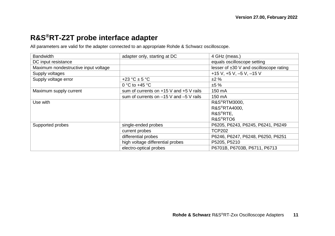# <span id="page-10-0"></span>**R&S®RT-Z2T probe interface adapter**

All parameters are valid for the adapter connected to an appropriate Rohde & Schwarz oscilloscope.

| <b>Bandwidth</b>                     | adapter only, starting at DC                | 4 GHz (meas.)                                |
|--------------------------------------|---------------------------------------------|----------------------------------------------|
| DC input resistance                  |                                             | equals oscilloscope setting                  |
| Maximum nondestructive input voltage |                                             | lesser of $\pm 30$ V and oscilloscope rating |
| Supply voltages                      |                                             | +15 V, +5 V, -5 V, -15 V                     |
| Supply voltage error                 | +23 °C $\pm$ 5 °C                           | ±2%                                          |
|                                      | 0 °C to +45 °C                              | ±5%                                          |
| Maximum supply current               | sum of currents on $+15$ V and $+5$ V rails | 150 mA                                       |
|                                      | sum of currents on $-15$ V and $-5$ V rails | 150 mA                                       |
| Use with                             |                                             | R&S <sup>®</sup> RTM3000.                    |
|                                      |                                             | R&S <sup>®</sup> RTA4000.                    |
|                                      |                                             | R&S <sup>®</sup> RTE.                        |
|                                      |                                             | R&S <sup>®</sup> RTO6                        |
| Supported probes                     | single-ended probes                         | P6205, P6243, P6245, P6241, P6249            |
|                                      | current probes                              | <b>TCP202</b>                                |
|                                      | differential probes                         | P6246, P6247, P6248, P6250, P6251            |
|                                      | high voltage differential probes            | P5205, P5210                                 |
|                                      | electro-optical probes                      | P6701B, P6703B, P6711, P6713                 |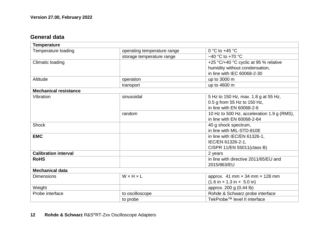### **General data**

| <b>Temperature</b>           |                             |                                                                |
|------------------------------|-----------------------------|----------------------------------------------------------------|
| Temperature loading          | operating temperature range | 0 °C to $+45$ °C                                               |
|                              | storage temperature range   | $-40$ °C to $+70$ °C                                           |
| Climatic loading             |                             | +25 °C/+40 °C cyclic at 95 % relative                          |
|                              |                             | humidity without condensation,                                 |
|                              |                             | in line with IEC 60068-2-30                                    |
| Altitude                     | operation                   | up to 3000 m                                                   |
|                              | transport                   | up to 4600 m                                                   |
| <b>Mechanical resistance</b> |                             |                                                                |
| Vibration                    | sinusoidal                  | 5 Hz to 150 Hz, max. 1.8 g at 55 Hz,                           |
|                              |                             | 0.5 g from 55 Hz to 150 Hz,                                    |
|                              |                             | in line with EN 60068-2-6                                      |
|                              | random                      | 10 Hz to 500 Hz, acceleration 1.9 g (RMS),                     |
|                              |                             | in line with EN 60068-2-64                                     |
| Shock                        |                             | 40 g shock spectrum,                                           |
|                              |                             | in line with MIL-STD-810E                                      |
| <b>EMC</b>                   |                             | in line with IEC/EN 61326-1,                                   |
|                              |                             | IEC/EN 61326-2-1.                                              |
|                              |                             | CISPR 11/EN 55011(class B)                                     |
| <b>Calibration interval</b>  |                             | 2 years                                                        |
| <b>RoHS</b>                  |                             | in line with directive 2011/65/EU and                          |
|                              |                             | 2015/863/EU                                                    |
| <b>Mechanical data</b>       |                             |                                                                |
| <b>Dimensions</b>            | WxHxL                       | approx. 41 mm $\times$ 34 mm $\times$ 128 mm                   |
|                              |                             | $(1.6 \text{ in} \times 1.3 \text{ in} \times 5.0 \text{ in})$ |
| Weight                       |                             | approx. 200 g (0.44 lb)                                        |
| Probe interface              | to oscilloscope             | Rohde & Schwarz probe interface                                |
|                              | to probe                    | TekProbe™ level II interface                                   |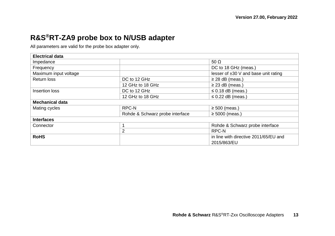# <span id="page-12-0"></span>**R&S®RT-ZA9 probe box to N/USB adapter**

All parameters are valid for the probe box adapter only.

| <b>Electrical data</b> |                                 |                                                      |
|------------------------|---------------------------------|------------------------------------------------------|
| Impedance              |                                 | 50 $\Omega$                                          |
| Frequency              |                                 | DC to 18 GHz (meas.)                                 |
| Maximum input voltage  |                                 | lesser of $\pm 30$ V and base unit rating            |
| Return loss            | DC to 12 GHz                    | $\geq$ 28 dB (meas.)                                 |
|                        | 12 GHz to 18 GHz                | $\geq$ 23 dB (meas.)                                 |
| Insertion loss         | DC to 12 GHz                    | $\leq$ 0.18 dB (meas.)                               |
|                        | 12 GHz to 18 GHz                | $\leq$ 0.22 dB (meas.)                               |
| <b>Mechanical data</b> |                                 |                                                      |
| Mating cycles          | RPC-N                           | $\geq$ 500 (meas.)                                   |
|                        | Rohde & Schwarz probe interface | $\geq 5000$ (meas.)                                  |
| <b>Interfaces</b>      |                                 |                                                      |
| Connector              |                                 | Rohde & Schwarz probe interface                      |
|                        | 2                               | RPC-N                                                |
| <b>RoHS</b>            |                                 | in line with directive 2011/65/EU and<br>2015/863/EU |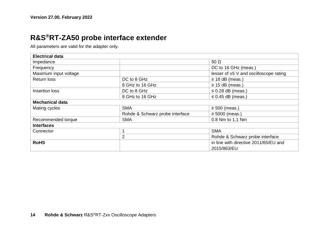### <span id="page-13-0"></span>**R&S®RT-ZA50 probe interface extender**

All parameters are valid for the adapter only.

| <b>Electrical data</b> |                                 |                                             |  |
|------------------------|---------------------------------|---------------------------------------------|--|
| Impedance              |                                 | 50 $\Omega$                                 |  |
| Frequency              |                                 | DC to 16 GHz (meas.)                        |  |
| Maximum input voltage  |                                 | lesser of $\pm 5$ V and oscilloscope rating |  |
| Return loss            | DC to 8 GHz                     | $\geq$ 18 dB (meas.)                        |  |
|                        | 8 GHz to 16 GHz                 | $\geq$ 15 dB (meas.)                        |  |
| Insertion loss         | DC to 8 GHz                     | $\leq$ 0.28 dB (meas.)                      |  |
|                        | 8 GHz to 16 GHz                 | $\leq$ 0.45 dB (meas.)                      |  |
| <b>Mechanical data</b> |                                 |                                             |  |
| Mating cycles          | <b>SMA</b>                      | $\geq$ 500 (meas.)                          |  |
|                        | Rohde & Schwarz probe interface | $\geq 5000$ (meas.)                         |  |
| Recommended torque     | <b>SMA</b>                      | 0.8 Nm to 1.1 Nm                            |  |
| <b>Interfaces</b>      |                                 |                                             |  |
| Connector              |                                 | <b>SMA</b>                                  |  |
|                        | 2                               | Rohde & Schwarz probe interface             |  |
| <b>RoHS</b>            |                                 | in line with directive 2011/65/EU and       |  |
|                        |                                 | 2015/863/EU                                 |  |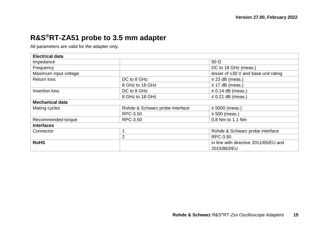# <span id="page-14-0"></span>**R&S®RT-ZA51 probe to 3.5 mm adapter**

All parameters are valid for the adapter only.

| <b>Electrical data</b> |                                 |                                           |  |
|------------------------|---------------------------------|-------------------------------------------|--|
| Impedance              |                                 | 50 $\Omega$                               |  |
| Frequency              |                                 | DC to 18 GHz (meas.)                      |  |
| Maximum input voltage  |                                 | lesser of $\pm 30$ V and base unit rating |  |
| <b>Return loss</b>     | DC to 8 GHz                     | $\geq$ 23 dB (meas.)                      |  |
|                        | 8 GHz to 18 GHz                 | $\geq$ 17 dB (meas.)                      |  |
| Insertion loss         | DC to 8 GHz                     | $\leq$ 0.14 dB (meas.)                    |  |
|                        | 8 GHz to 18 GHz                 | $\leq$ 0.21 dB (meas.)                    |  |
| <b>Mechanical data</b> |                                 |                                           |  |
| Mating cycles          | Rohde & Schwarz probe interface | $\geq 5000$ (meas.)                       |  |
|                        | RPC-3.50                        | $\geq$ 500 (meas.)                        |  |
| Recommended torque     | RPC-3.50                        | 0.8 Nm to 1.1 Nm                          |  |
| <b>Interfaces</b>      |                                 |                                           |  |
| Connector              |                                 | Rohde & Schwarz probe interface           |  |
|                        | 2                               | RPC-3.50                                  |  |
| <b>RoHS</b>            |                                 | in line with directive 2011/65/EU and     |  |
|                        |                                 | 2015/863/EU                               |  |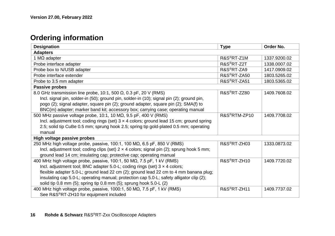# <span id="page-15-0"></span>**Ordering information**

| Designation                                                                                      | <b>Type</b>               | Order No.    |
|--------------------------------------------------------------------------------------------------|---------------------------|--------------|
| <b>Adapters</b>                                                                                  |                           |              |
| 1 M $\Omega$ adapter                                                                             | R&S <sup>®</sup> RT-Z1M   | 1337.9200.02 |
| Probe interface adapter                                                                          | R&S <sup>®</sup> RT-Z2T   | 1338.0007.02 |
| Probe box to N/USB adapter                                                                       | R&S <sup>®</sup> RT-ZA9   | 1417.0909.02 |
| Probe interface extender                                                                         | R&S <sup>®</sup> RT-ZA50  | 1803.5265.02 |
| Probe to 3.5 mm adapter                                                                          | R&S <sup>®</sup> RT-ZA51  | 1803.5365.02 |
| Passive probes                                                                                   |                           |              |
| 8.0 GHz transmission line probe, 10:1, 500 $\Omega$ , 0.3 pF, 20 V (RMS)                         | R&S <sup>®</sup> RT-ZZ80  | 1409.7608.02 |
| Incl. signal pin, solder-in (50); ground pin, solder-in (10); signal pin (2); ground pin,        |                           |              |
| pogo (2); signal adapter, square pin (2); ground adapter, square pin (2); SMA(f) to              |                           |              |
| BNC(m) adapter; marker band kit; accessory box; carrying case; operating manual                  |                           |              |
| 500 MHz passive voltage probe, 10:1, 10 MΩ, 9.5 pF, 400 V (RMS)                                  | R&S <sup>®</sup> RTM-ZP10 | 1409.7708.02 |
| Incl. adjustment tool; coding rings (set) $3 \times 4$ colors; ground lead 15 cm; ground spring  |                           |              |
| 2.5; solid tip CuBe 0.5 mm; sprung hook 2.5; spring tip gold-plated 0.5 mm; operating            |                           |              |
| manual                                                                                           |                           |              |
| High voltage passive probes                                                                      |                           |              |
| 250 MHz high voltage probe, passive, 100:1, 100 M $\Omega$ , 6.5 pF, 850 V (RMS)                 | R&S <sup>®</sup> RT-ZH03  | 1333.0873.02 |
| Incl. adjustment tool; coding clips (set) $2 \times 4$ colors; signal pin (2); sprung hook 5 mm; |                           |              |
| ground lead 14 cm; insulating cap; protective cap; operating manual                              |                           |              |
| 400 MHz high voltage probe, passive, 100:1, 50 M $\Omega$ , 7.5 pF, 1 kV (RMS)                   | R&S <sup>®</sup> RT-ZH10  | 1409.7720.02 |
| Incl. adjustment tool; BNC adapter 5.0-L; coding rings (set) $3 \times 4$ colors;                |                           |              |
| flexible adapter 5.0-L; ground lead 22 cm (2); ground lead 22 cm to 4 mm banana plug;            |                           |              |
| insulating cap 5.0-L; operating manual; protection cap 5.0-L; safety alligator clip (2);         |                           |              |
| solid tip 0.8 mm (5); spring tip 0.8 mm (5); sprung hook 5.0-L (2)                               |                           |              |
| 400 MHz high voltage probe, passive, 1000:1, 50 MΩ, 7.5 pF, 1 kV (RMS)                           | R&S <sup>®</sup> RT-ZH11  | 1409.7737.02 |
| See R&S®RT-ZH10 for equipment included                                                           |                           |              |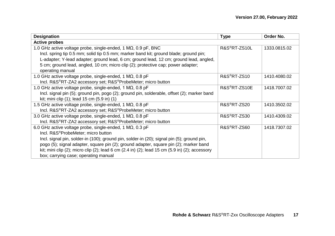| Designation                                                                                                                    | <b>Type</b>               | Order No.    |
|--------------------------------------------------------------------------------------------------------------------------------|---------------------------|--------------|
| <b>Active probes</b>                                                                                                           |                           |              |
| 1.0 GHz active voltage probe, single-ended, 1 M $\Omega$ , 0.9 pF, BNC                                                         | R&S <sup>®</sup> RT-ZS10L | 1333.0815.02 |
| Incl. spring tip 0.5 mm; solid tip 0.5 mm; marker band kit; ground blade; ground pin;                                          |                           |              |
| L-adapter; Y-lead adapter; ground lead, 6 cm; ground lead, 12 cm; ground lead, angled,                                         |                           |              |
| 5 cm; ground lead, angled, 10 cm; micro clip (2); protective cap; power adapter;                                               |                           |              |
| operating manual                                                                                                               |                           |              |
| 1.0 GHz active voltage probe, single-ended, 1 M $\Omega$ , 0.8 pF                                                              | R&S <sup>®</sup> RT-ZS10  | 1410.4080.02 |
| Incl. R&S <sup>®</sup> RT-ZA2 accessory set; R&S <sup>®</sup> ProbeMeter; micro button                                         |                           |              |
| 1.0 GHz active voltage probe, single-ended, 1 M $\Omega$ , 0.8 pF                                                              | R&S <sup>®</sup> RT-ZS10E | 1418.7007.02 |
| Incl. signal pin (5); ground pin, pogo (2); ground pin, solderable, offset (2); marker band                                    |                           |              |
| kit; mini clip (1); lead 15 cm (5.9 in) (1)                                                                                    |                           |              |
| 1.5 GHz active voltage probe, single-ended, 1 M $\Omega$ , 0.8 pF                                                              | R&S <sup>®</sup> RT-ZS20  | 1410.3502.02 |
| Incl. R&S <sup>®</sup> RT-ZA2 accessory set; R&S <sup>®</sup> ProbeMeter; micro button                                         |                           |              |
| 3.0 GHz active voltage probe, single-ended, 1 M $\Omega$ , 0.8 pF                                                              | R&S <sup>®</sup> RT-ZS30  | 1410.4309.02 |
| Incl. R&S®RT-ZA2 accessory set; R&S®ProbeMeter; micro button                                                                   |                           |              |
| 6.0 GHz active voltage probe, single-ended, 1 M $\Omega$ , 0.3 pF                                                              | R&S <sup>®</sup> RT-ZS60  | 1418.7307.02 |
| Incl. R&S <sup>®</sup> ProbeMeter; micro button                                                                                |                           |              |
| Incl. signal pin, solder-in (100); ground pin, solder-in (20); signal pin (5); ground pin,                                     |                           |              |
| pogo (5); signal adapter, square pin (2); ground adapter, square pin (2); marker band                                          |                           |              |
| kit; mini clip $(2)$ ; micro clip $(2)$ ; lead 6 cm $(2.4 \text{ in})$ $(2)$ ; lead 15 cm $(5.9 \text{ in})$ $(2)$ ; accessory |                           |              |
| box; carrying case; operating manual                                                                                           |                           |              |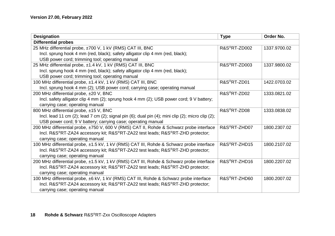| Designation                                                                                       | <b>Type</b>               | Order No.    |
|---------------------------------------------------------------------------------------------------|---------------------------|--------------|
| <b>Differential probes</b>                                                                        |                           |              |
| 25 MHz differential probe, ±700 V, 1 kV (RMS) CAT III, BNC                                        | R&S <sup>®</sup> RT-ZD002 | 1337.9700.02 |
| Incl. sprung hook 4 mm (red, black); safety alligator clip 4 mm (red, black);                     |                           |              |
| USB power cord; trimming tool; operating manual                                                   |                           |              |
| 25 MHz differential probe, ±1.4 kV, 1 kV (RMS) CAT III, BNC                                       | R&S <sup>®</sup> RT-ZD003 | 1337.9800.02 |
| Incl. sprung hook 4 mm (red, black); safety alligator clip 4 mm (red, black);                     |                           |              |
| USB power cord; trimming tool; operating manual                                                   |                           |              |
| 100 MHz differential probe, ±1.4 kV, 1 kV (RMS) CAT III, BNC                                      | R&S <sup>®</sup> RT-ZD01  | 1422.0703.02 |
| Incl. sprung hook 4 mm (2); USB power cord; carrying case; operating manual                       |                           |              |
| 200 MHz differential probe, ±20 V, BNC                                                            | R&S®RT-ZD02               | 1333.0821.02 |
| Incl. safety alligator clip 4 mm (2); sprung hook 4 mm (2); USB power cord; 9 V battery;          |                           |              |
| carrying case; operating manual                                                                   |                           |              |
| 800 MHz differential probe, ±15 V, BNC                                                            | R&S <sup>®</sup> RT-ZD08  | 1333.0838.02 |
| Incl. lead 11 cm (2); lead 7 cm (2); signal pin (6); dual pin (4); mini clip (2); micro clip (2); |                           |              |
| USB power cord; 9 V battery; carrying case; operating manual                                      |                           |              |
| 200 MHz differential probe, ±750 V, 600 V (RMS) CAT II, Rohde & Schwarz probe interface           | R&S <sup>®</sup> RT-ZHD07 | 1800.2307.02 |
| Incl. R&S®RT-ZA24 accessory kit; R&S®RT-ZA22 test leads; R&S®RT-ZHD protector;                    |                           |              |
| carrying case; operating manual                                                                   |                           |              |
| 100 MHz differential probe, ±1.5 kV, 1 kV (RMS) CAT III, Rohde & Schwarz probe interface          | R&S <sup>®</sup> RT-ZHD15 | 1800.2107.02 |
| Incl. R&S®RT-ZA24 accessory kit; R&S®RT-ZA22 test leads; R&S®RT-ZHD protector;                    |                           |              |
| carrying case; operating manual                                                                   |                           |              |
| 200 MHz differential probe, ±1.5 kV, 1 kV (RMS) CAT III, Rohde & Schwarz probe interface          | R&S <sup>®</sup> RT-ZHD16 | 1800.2207.02 |
| Incl. R&S®RT-ZA24 accessory kit; R&S®RT-ZA22 test leads; R&S®RT-ZHD protector;                    |                           |              |
| carrying case; operating manual                                                                   |                           |              |
| 100 MHz differential probe, ±6 kV, 1 kV (RMS) CAT III, Rohde & Schwarz probe interface            | R&S <sup>®</sup> RT-ZHD60 | 1800.2007.02 |
| Incl. R&S®RT-ZA24 accessory kit; R&S®RT-ZA22 test leads; R&S®RT-ZHD protector;                    |                           |              |
| carrying case; operating manual                                                                   |                           |              |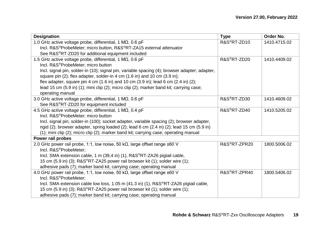| Designation                                                                                                             | <b>Type</b>               | Order No.    |
|-------------------------------------------------------------------------------------------------------------------------|---------------------------|--------------|
| 1.0 GHz active voltage probe, differential, 1 M $\Omega$ , 0.6 pF                                                       | R&S <sup>®</sup> RT-ZD10  | 1410.4715.02 |
| Incl. R&S <sup>®</sup> ProbeMeter; micro button, R&S®RT-ZA15 external attenuator                                        |                           |              |
| See R&S®RT-ZD20 for additional equipment included                                                                       |                           |              |
| 1.5 GHz active voltage probe, differential, 1 MΩ, 0.6 pF                                                                | R&S <sup>®</sup> RT-ZD20  | 1410.4409.02 |
| Incl. R&S <sup>®</sup> ProbeMeter; micro button                                                                         |                           |              |
| Incl. signal pin, solder-in (10); signal pin, variable spacing (4); browser adapter; adapter,                           |                           |              |
| square pin (2); flex adapter, solder-in 4 cm (1.6 in) and 10 cm (3.9 in);                                               |                           |              |
| flex adapter, square pin 4 cm $(1.6 \text{ in})$ and 10 cm $(3.9 \text{ in})$ ; lead 6 cm $(2.4 \text{ in})$ $(2)$ ;    |                           |              |
| lead 15 cm (5.9 in) (1); mini clip (2); micro clip (2); marker band kit; carrying case;                                 |                           |              |
| operating manual                                                                                                        |                           |              |
| 3.0 GHz active voltage probe, differential, 1 MQ, 0.6 pF                                                                | R&S <sup>®</sup> RT-ZD30  | 1410.4609.02 |
| See R&S®RT-ZD20 for equipment included                                                                                  |                           |              |
| 4.5 GHz active voltage probe, differential, 1 M $\Omega$ , 0.4 pF                                                       | R&S <sup>®</sup> RT-ZD40  | 1410.5205.02 |
| Incl. R&S <sup>®</sup> ProbeMeter; micro button                                                                         |                           |              |
| Incl. signal pin, solder-in (100); socket adapter, variable spacing (2); browser adapter,                               |                           |              |
| rigid $(2)$ ; browser adapter, spring loaded $(2)$ ; lead 6 cm $(2.4 \text{ in})$ $(2)$ ; lead 15 cm $(5.9 \text{ in})$ |                           |              |
| (1); mini clip (2); micro clip (2); marker band kit; carrying case; operating manual                                    |                           |              |
| Power rail probes                                                                                                       |                           |              |
| 2.0 GHz power rail probe, 1:1, low noise, 50 k $\Omega$ , large offset range $\pm 60$ V                                 | R&S <sup>®</sup> RT-ZPR20 | 1800.5006.02 |
| Incl. R&S <sup>®</sup> ProbeMeter:                                                                                      |                           |              |
| Incl. SMA extension cable, 1 m (39,4 in) (1), R&S <sup>®</sup> RT-ZA26 pigtail cable,                                   |                           |              |
| 15 cm (5.9 in) (3); R&S <sup>®</sup> RT-ZA25 power rail browser kit (1); solder wire (1);                               |                           |              |
| adhesive pads (7); marker band kit; carrying case; operating manual                                                     |                           |              |
| 4.0 GHz power rail probe, 1:1, low noise, 50 k $\Omega$ , large offset range $\pm 60$ V                                 | R&S®RT-ZPR40              | 1800.5406.02 |
| Incl. R&S <sup>®</sup> ProbeMeter:                                                                                      |                           |              |
| Incl. SMA extension cable low loss, 1.05 m (41.3 in) (1), R&S <sup>®</sup> RT-ZA26 pigtail cable,                       |                           |              |
| 15 cm (5.9 in) (3); R&S®RT-ZA25 power rail browser kit (1); solder wire (1);                                            |                           |              |
| adhesive pads (7); marker band kit; carrying case; operating manual                                                     |                           |              |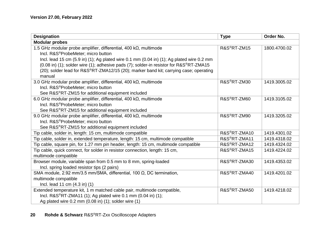| Designation                                                                               | <b>Type</b>               | Order No.    |
|-------------------------------------------------------------------------------------------|---------------------------|--------------|
| <b>Modular probes</b>                                                                     |                           |              |
| 1.5 GHz modular probe amplifier, differential, 400 kΩ, multimode                          | R&S <sup>®</sup> RT-ZM15  | 1800.4700.02 |
| Incl. R&S <sup>®</sup> ProbeMeter: micro button                                           |                           |              |
| Incl. lead 15 cm (5.9 in) (1); Ag plated wire 0.1 mm (0.04 in) (1); Ag plated wire 0.2 mm |                           |              |
| (0.08 in) (1); solder wire (1); adhesive pads (7); solder-in resistor for R&S®RT-ZMA15    |                           |              |
| (20); solder lead for R&S®RT-ZMA12/15 (20); marker band kit; carrying case; operating     |                           |              |
| manual                                                                                    |                           |              |
| 3.0 GHz modular probe amplifier, differential, 400 k $\Omega$ , multimode                 | R&S <sup>®</sup> RT-ZM30  | 1419.3005.02 |
| Incl. R&S <sup>®</sup> ProbeMeter; micro button                                           |                           |              |
| See R&S <sup>®</sup> RT-ZM15 for additional equipment included                            |                           |              |
| 6.0 GHz modular probe amplifier, differential, 400 k $\Omega$ , multimode                 | R&S <sup>®</sup> RT-ZM60  | 1419.3105.02 |
| Incl. R&S®ProbeMeter; micro button                                                        |                           |              |
| See R&S®RT-ZM15 for additional equipment included                                         |                           |              |
| 9.0 GHz modular probe amplifier, differential, 400 kΩ, multimode                          | R&S <sup>®</sup> RT-ZM90  | 1419.3205.02 |
| Incl. R&S®ProbeMeter; micro button                                                        |                           |              |
| See R&S®RT-ZM15 for additional equipment included                                         |                           |              |
| Tip cable, solder in, length: 15 cm, multimode compatible                                 | R&S <sup>®</sup> RT-ZMA10 | 1419.4301.02 |
| Tip cable, solder in, extended temperature, length: 15 cm, multimode compatible           | R&S®RT-ZMA11              | 1419.4318.02 |
| Tip cable, square pin, for 1.27 mm pin header, length: 15 cm, multimode compatible        | R&S <sup>®</sup> RT-ZMA12 | 1419.4324.02 |
| Tip cable, quick connect, for solder in resistor connection, length: 15 cm,               | R&S <sup>®</sup> RT-ZMA15 | 1419.4224.02 |
| multimode compatible                                                                      |                           |              |
| Browser module, variable span from 0.5 mm to 8 mm, spring-loaded                          | R&S <sup>®</sup> RT-ZMA30 | 1419.4353.02 |
| Incl. spring loaded resistor tips (2 pairs)                                               |                           |              |
| SMA module, 2.92 mm/3.5 mm/SMA, differential, 100 Ω, DC termination,                      | R&S <sup>®</sup> RT-ZMA40 | 1419.4201.02 |
| multimode compatible                                                                      |                           |              |
| Incl. lead 11 cm (4.3 in) (1)                                                             |                           |              |
| Extended temperature kit, 1 m matched cable pair, multimode compatible,                   | R&S <sup>®</sup> RT-ZMA50 | 1419.4218.02 |
| Incl. R&S <sup>®</sup> RT-ZMA11 (1); Ag plated wire 0.1 mm (0.04 in) (1);                 |                           |              |
| Ag plated wire 0.2 mm (0.08 in) (1); solder wire (1)                                      |                           |              |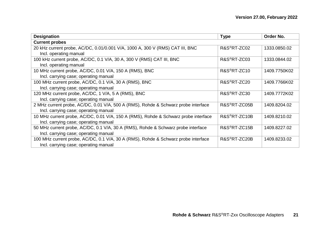| Designation                                                                         | <b>Type</b>               | Order No.    |  |
|-------------------------------------------------------------------------------------|---------------------------|--------------|--|
| <b>Current probes</b>                                                               |                           |              |  |
| 20 kHz current probe, AC/DC, 0.01/0.001 V/A, 1000 A, 300 V (RMS) CAT III, BNC       | R&S <sup>®</sup> RT-ZC02  | 1333.0850.02 |  |
| Incl. operating manual                                                              |                           |              |  |
| 100 kHz current probe, AC/DC, 0.1 V/A, 30 A, 300 V (RMS) CAT III, BNC               | R&S <sup>®</sup> RT-ZC03  | 1333.0844.02 |  |
| Incl. operating manual                                                              |                           |              |  |
| 10 MHz current probe, AC/DC, 0.01 V/A, 150 A (RMS), BNC                             | R&S <sup>®</sup> RT-ZC10  | 1409.7750K02 |  |
| Incl. carrying case; operating manual                                               |                           |              |  |
| 100 MHz current probe, AC/DC, 0.1 V/A, 30 A (RMS), BNC                              | R&S <sup>®</sup> RT-ZC20  | 1409.7766K02 |  |
| Incl. carrying case; operating manual                                               |                           |              |  |
| 120 MHz current probe, AC/DC, 1 V/A, 5 A (RMS), BNC                                 | R&S <sup>®</sup> RT-ZC30  | 1409.7772K02 |  |
| Incl. carrying case; operating manual                                               |                           |              |  |
| 2 MHz current probe, AC/DC, 0.01 V/A, 500 A (RMS), Rohde & Schwarz probe interface  | R&S <sup>®</sup> RT-ZC05B | 1409.8204.02 |  |
| Incl. carrying case; operating manual                                               |                           |              |  |
| 10 MHz current probe, AC/DC, 0.01 V/A, 150 A (RMS), Rohde & Schwarz probe interface | R&S <sup>®</sup> RT-ZC10B | 1409.8210.02 |  |
| Incl. carrying case; operating manual                                               |                           |              |  |
| 50 MHz current probe, AC/DC, 0.1 V/A, 30 A (RMS), Rohde & Schwarz probe interface   | R&S <sup>®</sup> RT-ZC15B | 1409.8227.02 |  |
| Incl. carrying case; operating manual                                               |                           |              |  |
| 100 MHz current probe, AC/DC, 0.1 V/A, 30 A (RMS), Rohde & Schwarz probe interface  | R&S <sup>®</sup> RT-ZC20B | 1409.8233.02 |  |
| Incl. carrying case; operating manual                                               |                           |              |  |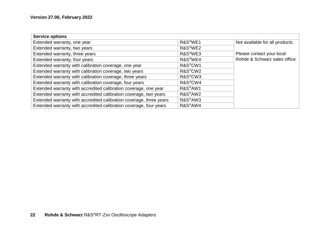| <b>Service options</b>                                              |                                  |                                 |
|---------------------------------------------------------------------|----------------------------------|---------------------------------|
| Extended warranty, one year                                         | R&S <sup>®</sup> WE1             | Not available for all products. |
| Extended warranty, two years                                        | R&S <sup>®</sup> WE2             |                                 |
| Extended warranty, three years                                      | R&S <sup>®</sup> WE3             | Please contact your local       |
| Extended warranty, four years                                       | R&S <sup>®</sup> WE4             | Rohde & Schwarz sales office.   |
| Extended warranty with calibration coverage, one year               | R&S <sup>®</sup> CW1             |                                 |
| Extended warranty with calibration coverage, two years              | R&S <sup>®</sup> CW <sub>2</sub> |                                 |
| Extended warranty with calibration coverage, three years            | R&S <sup>®</sup> CW3             |                                 |
| Extended warranty with calibration coverage, four years             | R&S <sup>®</sup> CW4             |                                 |
| Extended warranty with accredited calibration coverage, one year    | R&S <sup>®</sup> AW1             |                                 |
| Extended warranty with accredited calibration coverage, two years   | R&S <sup>®</sup> AW2             |                                 |
| Extended warranty with accredited calibration coverage, three years | R&S <sup>®</sup> AW3             |                                 |
| Extended warranty with accredited calibration coverage, four years  | R&S <sup>®</sup> AW4             |                                 |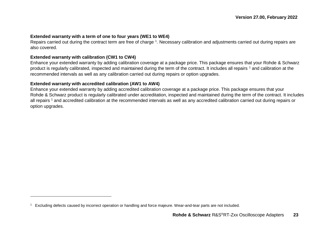#### **Extended warranty with a term of one to four years (WE1 to WE4)**

<span id="page-22-0"></span>Repairs carried out during the contract term are free of charge 1. Necessary calibration and adjustments carried out during repairs are also covered.

#### **Extended warranty with calibration (CW1 to CW4)**

 $\overline{a}$ 

Enhance your extended warranty by adding calibration coverage at a package price. This package ensures that your Rohde & Schwarz product is regularly calibrated, inspected and maintained during the term of the contract. It includes all repairs <sup>[1](#page-22-0)</sup> and calibration at the recommended intervals as well as any calibration carried out during repairs or option upgrades.

#### **Extended warranty with accredited calibration (AW1 to AW4)**

Enhance your extended warranty by adding accredited calibration coverage at a package price. This package ensures that your Rohde & Schwarz product is regularly calibrated under accreditation, inspected and maintained during the term of the contract. It includes all repairs<sup>[1](#page-22-0)</sup> and accredited calibration at the recommended intervals as well as any accredited calibration carried out during repairs or option upgrades.

<sup>1</sup> Excluding defects caused by incorrect operation or handling and force majeure. Wear-and-tear parts are not included.